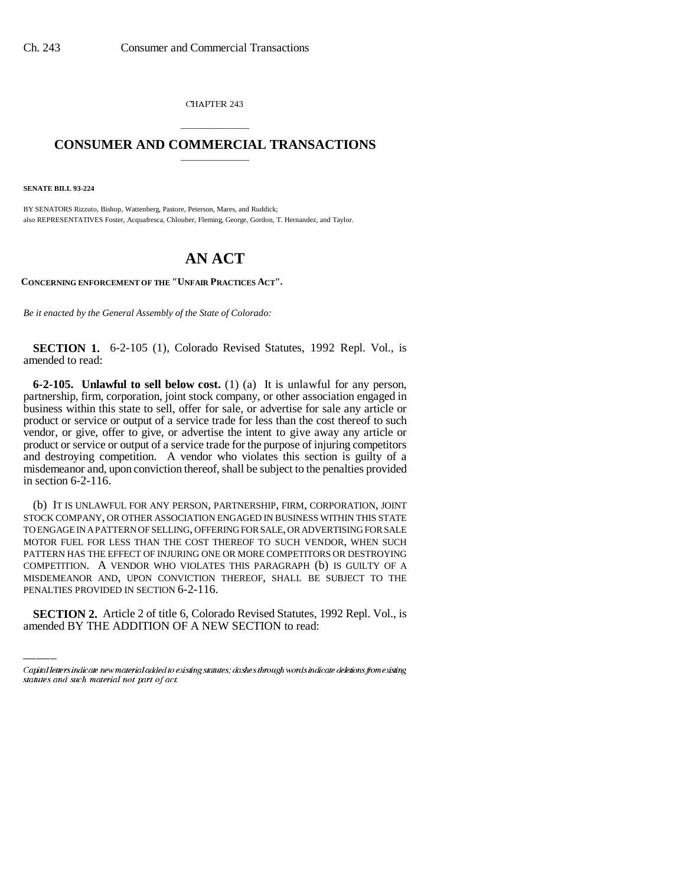CHAPTER 243

## \_\_\_\_\_\_\_\_\_\_\_\_\_\_\_ **CONSUMER AND COMMERCIAL TRANSACTIONS** \_\_\_\_\_\_\_\_\_\_\_\_\_\_\_

**SENATE BILL 93-224**

BY SENATORS Rizzuto, Bishop, Wattenberg, Pastore, Peterson, Mares, and Ruddick; also REPRESENTATIVES Foster, Acquafresca, Chlouber, Fleming, George, Gordon, T. Hernandez, and Taylor.

## **AN ACT**

**CONCERNING ENFORCEMENT OF THE "UNFAIR PRACTICES ACT".**

*Be it enacted by the General Assembly of the State of Colorado:*

**SECTION 1.** 6-2-105 (1), Colorado Revised Statutes, 1992 Repl. Vol., is amended to read:

**6-2-105. Unlawful to sell below cost.** (1) (a) It is unlawful for any person, partnership, firm, corporation, joint stock company, or other association engaged in business within this state to sell, offer for sale, or advertise for sale any article or product or service or output of a service trade for less than the cost thereof to such vendor, or give, offer to give, or advertise the intent to give away any article or product or service or output of a service trade for the purpose of injuring competitors and destroying competition. A vendor who violates this section is guilty of a misdemeanor and, upon conviction thereof, shall be subject to the penalties provided in section 6-2-116.

MISDEMEANOR AND, UPON CONVICTION THEREOF, SHALL BE SUBJECT TO THE (b) IT IS UNLAWFUL FOR ANY PERSON, PARTNERSHIP, FIRM, CORPORATION, JOINT STOCK COMPANY, OR OTHER ASSOCIATION ENGAGED IN BUSINESS WITHIN THIS STATE TO ENGAGE IN A PATTERN OF SELLING, OFFERING FOR SALE, OR ADVERTISING FOR SALE MOTOR FUEL FOR LESS THAN THE COST THEREOF TO SUCH VENDOR, WHEN SUCH PATTERN HAS THE EFFECT OF INJURING ONE OR MORE COMPETITORS OR DESTROYING COMPETITION. A VENDOR WHO VIOLATES THIS PARAGRAPH (b) IS GUILTY OF A PENALTIES PROVIDED IN SECTION 6-2-116.

**SECTION 2.** Article 2 of title 6, Colorado Revised Statutes, 1992 Repl. Vol., is amended BY THE ADDITION OF A NEW SECTION to read:

Capital letters indicate new material added to existing statutes; dashes through words indicate deletions from existing statutes and such material not part of act.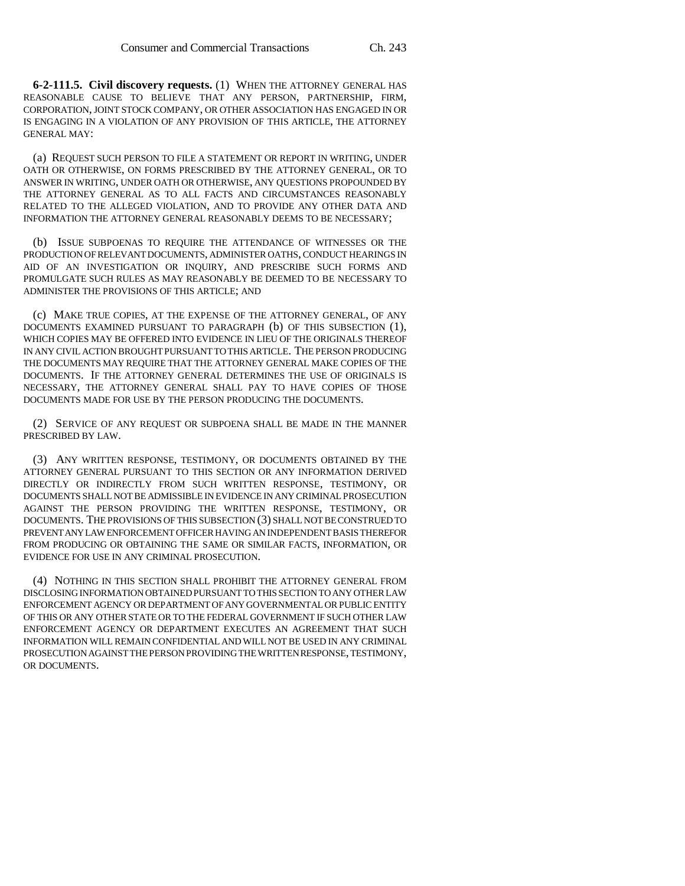**6-2-111.5. Civil discovery requests.** (1) WHEN THE ATTORNEY GENERAL HAS REASONABLE CAUSE TO BELIEVE THAT ANY PERSON, PARTNERSHIP, FIRM, CORPORATION, JOINT STOCK COMPANY, OR OTHER ASSOCIATION HAS ENGAGED IN OR IS ENGAGING IN A VIOLATION OF ANY PROVISION OF THIS ARTICLE, THE ATTORNEY GENERAL MAY:

(a) REQUEST SUCH PERSON TO FILE A STATEMENT OR REPORT IN WRITING, UNDER OATH OR OTHERWISE, ON FORMS PRESCRIBED BY THE ATTORNEY GENERAL, OR TO ANSWER IN WRITING, UNDER OATH OR OTHERWISE, ANY QUESTIONS PROPOUNDED BY THE ATTORNEY GENERAL AS TO ALL FACTS AND CIRCUMSTANCES REASONABLY RELATED TO THE ALLEGED VIOLATION, AND TO PROVIDE ANY OTHER DATA AND INFORMATION THE ATTORNEY GENERAL REASONABLY DEEMS TO BE NECESSARY;

(b) ISSUE SUBPOENAS TO REQUIRE THE ATTENDANCE OF WITNESSES OR THE PRODUCTION OF RELEVANT DOCUMENTS, ADMINISTER OATHS, CONDUCT HEARINGS IN AID OF AN INVESTIGATION OR INQUIRY, AND PRESCRIBE SUCH FORMS AND PROMULGATE SUCH RULES AS MAY REASONABLY BE DEEMED TO BE NECESSARY TO ADMINISTER THE PROVISIONS OF THIS ARTICLE; AND

(c) MAKE TRUE COPIES, AT THE EXPENSE OF THE ATTORNEY GENERAL, OF ANY DOCUMENTS EXAMINED PURSUANT TO PARAGRAPH (b) OF THIS SUBSECTION (1), WHICH COPIES MAY BE OFFERED INTO EVIDENCE IN LIEU OF THE ORIGINALS THEREOF IN ANY CIVIL ACTION BROUGHT PURSUANT TO THIS ARTICLE. THE PERSON PRODUCING THE DOCUMENTS MAY REQUIRE THAT THE ATTORNEY GENERAL MAKE COPIES OF THE DOCUMENTS. IF THE ATTORNEY GENERAL DETERMINES THE USE OF ORIGINALS IS NECESSARY, THE ATTORNEY GENERAL SHALL PAY TO HAVE COPIES OF THOSE DOCUMENTS MADE FOR USE BY THE PERSON PRODUCING THE DOCUMENTS.

(2) SERVICE OF ANY REQUEST OR SUBPOENA SHALL BE MADE IN THE MANNER PRESCRIBED BY LAW.

(3) ANY WRITTEN RESPONSE, TESTIMONY, OR DOCUMENTS OBTAINED BY THE ATTORNEY GENERAL PURSUANT TO THIS SECTION OR ANY INFORMATION DERIVED DIRECTLY OR INDIRECTLY FROM SUCH WRITTEN RESPONSE, TESTIMONY, OR DOCUMENTS SHALL NOT BE ADMISSIBLE IN EVIDENCE IN ANY CRIMINAL PROSECUTION AGAINST THE PERSON PROVIDING THE WRITTEN RESPONSE, TESTIMONY, OR DOCUMENTS. THE PROVISIONS OF THIS SUBSECTION (3) SHALL NOT BE CONSTRUED TO PREVENT ANY LAW ENFORCEMENT OFFICER HAVING AN INDEPENDENT BASIS THEREFOR FROM PRODUCING OR OBTAINING THE SAME OR SIMILAR FACTS, INFORMATION, OR EVIDENCE FOR USE IN ANY CRIMINAL PROSECUTION.

(4) NOTHING IN THIS SECTION SHALL PROHIBIT THE ATTORNEY GENERAL FROM DISCLOSING INFORMATION OBTAINED PURSUANT TO THIS SECTION TO ANY OTHER LAW ENFORCEMENT AGENCY OR DEPARTMENT OF ANY GOVERNMENTAL OR PUBLIC ENTITY OF THIS OR ANY OTHER STATE OR TO THE FEDERAL GOVERNMENT IF SUCH OTHER LAW ENFORCEMENT AGENCY OR DEPARTMENT EXECUTES AN AGREEMENT THAT SUCH INFORMATION WILL REMAIN CONFIDENTIAL AND WILL NOT BE USED IN ANY CRIMINAL PROSECUTION AGAINST THE PERSON PROVIDING THE WRITTEN RESPONSE, TESTIMONY, OR DOCUMENTS.